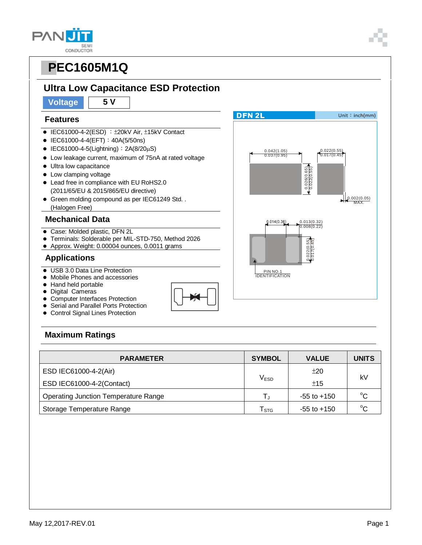#### **PAN SEMI** CONDUCTOR



### **Ultra Low Capacitance ESD Protection**

**Voltage 5 V**

#### **Features**

- $\bullet$  IEC61000-4-2(ESD) :  $\pm$ 20kV Air,  $\pm$ 15kV Contact
- IEC61000-4-4(EFT): 40A(5/50ns)
- $\bullet$  IEC61000-4-5(Lightning): 2A(8/20 $\mu$ S)
- Low leakage current, maximum of 75nA at rated voltage
- $\bullet$  Ultra low capacitance
- Low clamping voltage
- Lead free in compliance with EU RoHS2.0 (2011/65/EU & 2015/865/EU directive)
- Green molding compound as per IEC61249 Std. . (Halogen Free)

#### **Mechanical Data**

- Case: Molded plastic, DFN 2L
- Terminals: Solderable per MIL-STD-750, Method 2026
- Approx. Weight: 0.00004 ounces, 0.0011 grams

#### **Applications**

- USB 3.0 Data Line Protection
- Mobile Phones and accessories
- Hand held portable
- Digital Cameras
- Computer Interfaces Protection
- **Serial and Parallel Ports Protection** Control Signal Lines Protection



### **Maximum Ratings**

| <b>PARAMETER</b>                            | <b>SYMBOL</b>    | <b>VALUE</b>    | <b>UNITS</b> |  |
|---------------------------------------------|------------------|-----------------|--------------|--|
| ESD IEC61000-4-2(Air)                       |                  | ±20             | kV           |  |
| ESD IEC61000-4-2(Contact)                   | V <sub>ESD</sub> | ±15             |              |  |
| <b>Operating Junction Temperature Range</b> |                  | $-55$ to $+150$ | $^{\circ}$ C |  |
| Storage Temperature Range                   | <b>STG</b>       | $-55$ to $+150$ | $^{\circ}C$  |  |

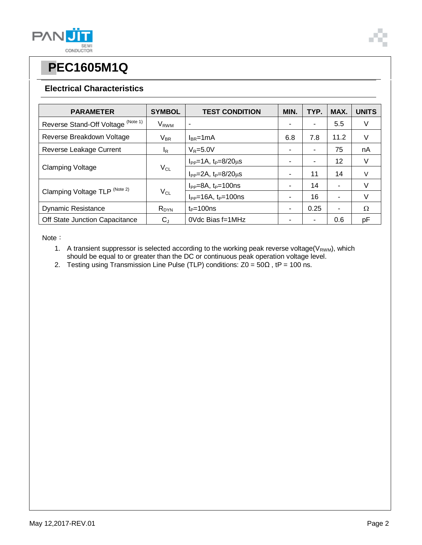

#### **Electrical Characteristics**

| <b>PARAMETER</b>                   | <b>SYMBOL</b>               | <b>TEST CONDITION</b>              | MIN. | TYP. | MAX. | <b>UNITS</b> |
|------------------------------------|-----------------------------|------------------------------------|------|------|------|--------------|
| Reverse Stand-Off Voltage (Note 1) | $\mathsf{V}_{\mathsf{RWM}}$ | ۰                                  |      |      | 5.5  | V            |
| Reverse Breakdown Voltage          | $V_{BR}$                    | $I_{BR}$ =1mA                      | 6.8  | 7.8  | 11.2 | V            |
| Reverse Leakage Current            | <sup>I</sup> R              | $V_R = 5.0V$                       |      |      | 75   | nA           |
| <b>Clamping Voltage</b>            | $V_{CL}$                    | $I_{PP} = 1A$ , $t_P = 8/20 \mu s$ |      |      | 12   | V            |
|                                    |                             | $I_{PP} = 2A$ , $t_P = 8/20 \mu s$ | ٠    | 11   | 14   | V            |
| Clamping Voltage TLP (Note 2)      | $\mathsf{V}_{\mathsf{CL}}$  | $I_{PP} = 8A$ , $t_P = 100$ ns     |      | 14   |      | v            |
|                                    |                             | $I_{PP} = 16A$ , $t_P = 100$ ns    | ٠    | 16   | ٠    | V            |
| <b>Dynamic Resistance</b>          | $R_{DYN}$                   | $t_P = 100$ ns                     | ٠    | 0.25 | ۰    | Ω            |
| Off State Junction Capacitance     | $C_{J}$                     | 0Vdc Bias f=1MHz                   |      | ۰    | 0.6  | рF           |

Note:

- 1. A transient suppressor is selected according to the working peak reverse voltage( $V_{RWM}$ ), which should be equal to or greater than the DC or continuous peak operation voltage level.
- 2. Testing using Transmission Line Pulse (TLP) conditions:  $Z0 = 50\Omega$ , tP = 100 ns.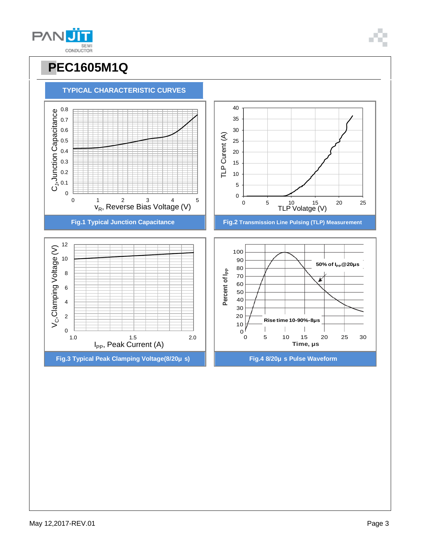



**TYPICAL CHARACTERISTIC CURVES**

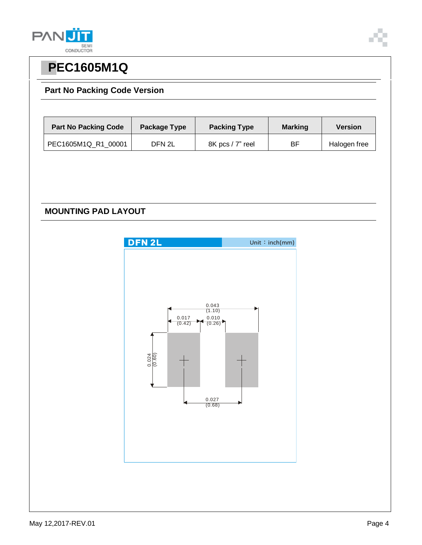

#### **Part No Packing Code Version**

| <b>Part No Packing Code</b> | Package Type | <b>Packing Type</b> | <b>Marking</b> | <b>Version</b> |
|-----------------------------|--------------|---------------------|----------------|----------------|
| PEC1605M1Q R1 00001         | DFN 2L       | 8K pcs / 7" reel    | ВF             | Halogen free   |

### **MOUNTING PAD LAYOUT**